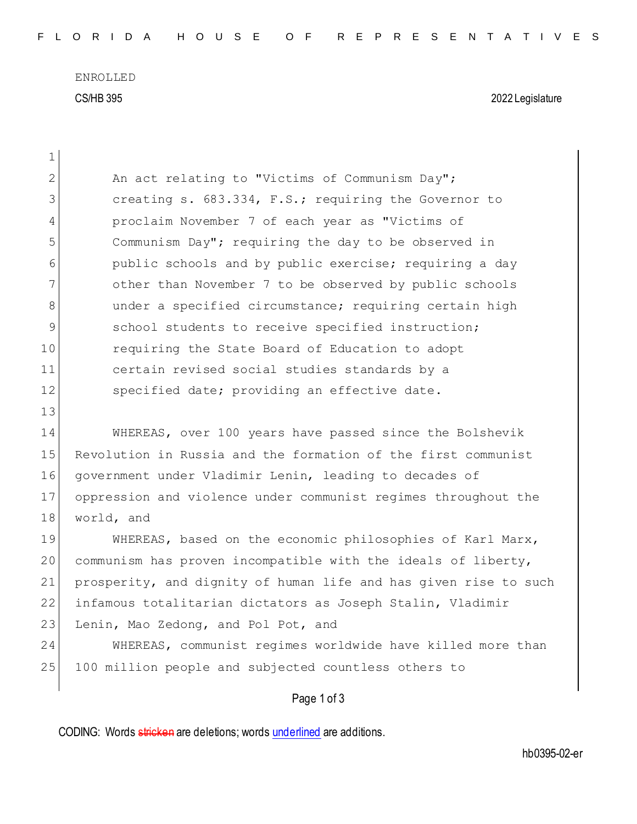ENROLLED CS/HB 395 2022 Legislature

| $\mathbf 1$  |                                                                  |
|--------------|------------------------------------------------------------------|
| $\mathbf{2}$ | An act relating to "Victims of Communism Day";                   |
| 3            | creating s. 683.334, F.S.; requiring the Governor to             |
| 4            | proclaim November 7 of each year as "Victims of                  |
| 5            | Communism Day"; requiring the day to be observed in              |
| 6            | public schools and by public exercise; requiring a day           |
| 7            | other than November 7 to be observed by public schools           |
| 8            | under a specified circumstance; requiring certain high           |
| 9            | school students to receive specified instruction;                |
| 10           | requiring the State Board of Education to adopt                  |
| 11           | certain revised social studies standards by a                    |
| 12           | specified date; providing an effective date.                     |
| 13           |                                                                  |
| 14           | WHEREAS, over 100 years have passed since the Bolshevik          |
| 15           | Revolution in Russia and the formation of the first communist    |
| 16           | government under Vladimir Lenin, leading to decades of           |
| 17           | oppression and violence under communist regimes throughout the   |
| 18           | world, and                                                       |
| 19           | WHEREAS, based on the economic philosophies of Karl Marx,        |
| 20           | communism has proven incompatible with the ideals of liberty,    |
| 21           | prosperity, and dignity of human life and has given rise to such |
| 22           | infamous totalitarian dictators as Joseph Stalin, Vladimir       |
| 23           | Lenin, Mao Zedong, and Pol Pot, and                              |
| 24           | WHEREAS, communist regimes worldwide have killed more than       |
| 25           | 100 million people and subjected countless others to             |

Page 1 of 3

CODING: Words stricken are deletions; words underlined are additions.

hb0395-02-er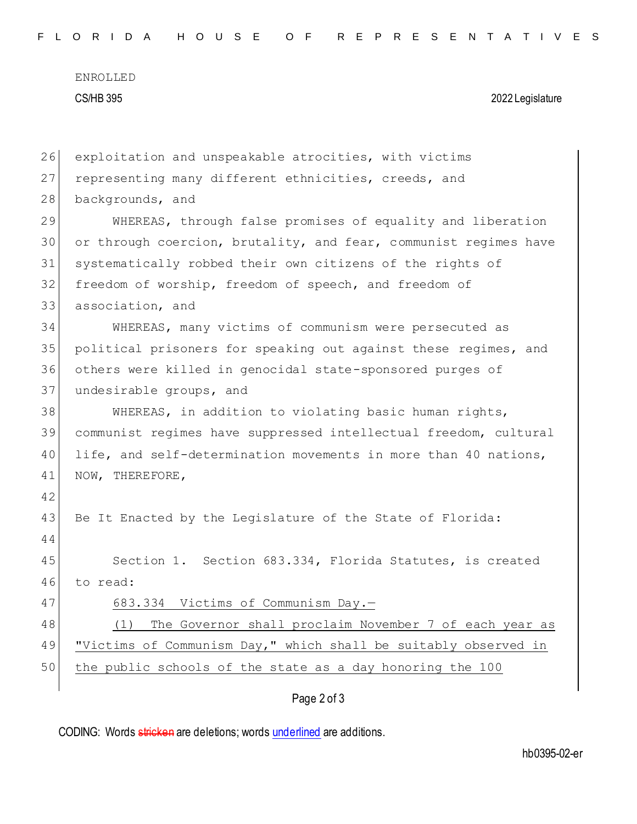ENROLLED CS/HB 395 2022 Legislature

| 26 | exploitation and unspeakable atrocities, with victims            |
|----|------------------------------------------------------------------|
| 27 | representing many different ethnicities, creeds, and             |
| 28 | backgrounds, and                                                 |
| 29 | WHEREAS, through false promises of equality and liberation       |
| 30 | or through coercion, brutality, and fear, communist regimes have |
| 31 | systematically robbed their own citizens of the rights of        |
| 32 | freedom of worship, freedom of speech, and freedom of            |
| 33 | association, and                                                 |
| 34 | WHEREAS, many victims of communism were persecuted as            |
| 35 | political prisoners for speaking out against these regimes, and  |
| 36 | others were killed in genocidal state-sponsored purges of        |
| 37 | undesirable groups, and                                          |
| 38 | WHEREAS, in addition to violating basic human rights,            |
| 39 | communist regimes have suppressed intellectual freedom, cultural |
| 40 | life, and self-determination movements in more than 40 nations,  |
| 41 | NOW, THEREFORE,                                                  |
| 42 |                                                                  |
| 43 | Be It Enacted by the Legislature of the State of Florida:        |
| 44 |                                                                  |
| 45 | Section 1. Section 683.334, Florida Statutes, is created         |
| 46 | to read:                                                         |
| 47 | 683.334 Victims of Communism Day.-                               |
| 48 | The Governor shall proclaim November 7 of each year as<br>(1)    |
| 49 | "Victims of Communism Day," which shall be suitably observed in  |
| 50 | the public schools of the state as a day honoring the 100        |
|    | Page 2 of 3                                                      |
|    |                                                                  |

CODING: Words stricken are deletions; words underlined are additions.